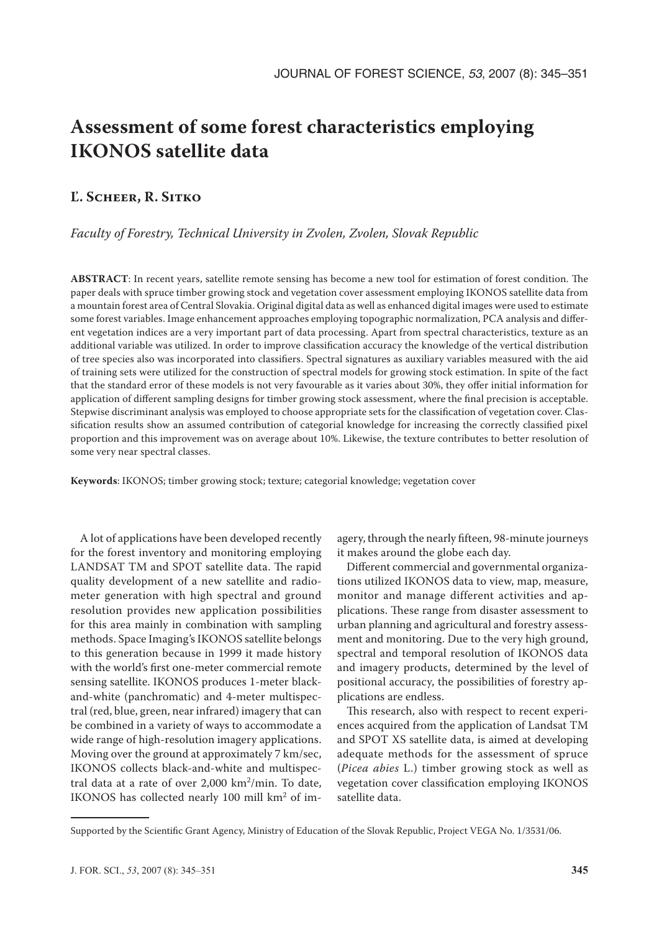# **Assessment of some forest characteristics employing ikonos satellite data**

## **Ľ. Scheer, R. Sitko**

### *Faculty of Forestry, Technical University in Zvolen, Zvolen, Slovak Republic*

**ABSTRACT**: In recent years, satellite remote sensing has become a new tool for estimation of forest condition. The paper deals with spruce timber growing stock and vegetation cover assessment employing IKONOS satellite data from a mountain forest area of Central Slovakia. Original digital data as well as enhanced digital images were used to estimate some forest variables. Image enhancement approaches employing topographic normalization, PCA analysis and different vegetation indices are a very important part of data processing. Apart from spectral characteristics, texture as an additional variable was utilized. In order to improve classification accuracy the knowledge of the vertical distribution of tree species also was incorporated into classifiers. Spectral signatures as auxiliary variables measured with the aid of training sets were utilized for the construction of spectral models for growing stock estimation. In spite of the fact that the standard error of these models is not very favourable as it varies about 30%, they offer initial information for application of different sampling designs for timber growing stock assessment, where the final precision is acceptable. Stepwise discriminant analysis was employed to choose appropriate sets for the classification of vegetation cover. Classification results show an assumed contribution of categorial knowledge for increasing the correctly classified pixel proportion and this improvement was on average about 10%. Likewise, the texture contributes to better resolution of some very near spectral classes.

**Keywords**: IKONOS; timber growing stock; texture; categorial knowledge; vegetation cover

A lot of applications have been developed recently for the forest inventory and monitoring employing LANDSAT TM and SPOT satellite data. The rapid quality development of a new satellite and radiometer generation with high spectral and ground resolution provides new application possibilities for this area mainly in combination with sampling methods. Space Imaging's IKONOS satellite belongs to this generation because in 1999 it made history with the world's first one-meter commercial remote sensing satellite. IKONOS produces 1-meter blackand-white (panchromatic) and 4-meter multispectral (red, blue, green, near infrared) imagery that can be combined in a variety of ways to accommodate a wide range of high-resolution imagery applications. Moving over the ground at approximately 7 km/sec, IKONOS collects black-and-white and multispectral data at a rate of over  $2,000 \text{ km}^2/\text{min}$ . To date, IKONOS has collected nearly  $100 \text{ mill km}^2 \text{ of im-}$ 

agery, through the nearly fifteen, 98-minute journeys it makes around the globe each day.

Different commercial and governmental organizations utilized IKONOS data to view, map, measure, monitor and manage different activities and applications. These range from disaster assessment to urban planning and agricultural and forestry assessment and monitoring. Due to the very high ground, spectral and temporal resolution of IKONOS data and imagery products, determined by the level of positional accuracy, the possibilities of forestry applications are endless.

This research, also with respect to recent experiences acquired from the application of Landsat TM and SPOT XS satellite data, is aimed at developing adequate methods for the assessment of spruce (*Picea abies* L.) timber growing stock as well as vegetation cover classification employing IKONOS satellite data.

Supported by the Scientific Grant Agency, Ministry of Education of the Slovak Republic, Project VEGA No. 1/3531/06.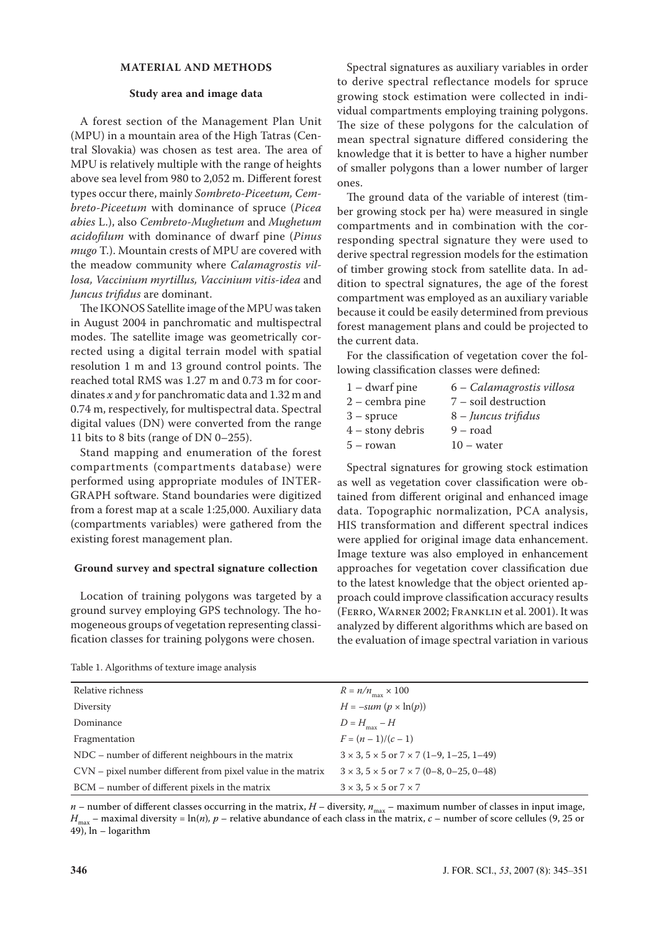## **MATERIAL AND METHODS**

#### **Study area and image data**

A forest section of the Management Plan Unit (MPU) in a mountain area of the High Tatras (Central Slovakia) was chosen as test area. The area of MPU is relatively multiple with the range of heights above sea level from 980 to 2,052 m. Different forest types occur there, mainly *Sombreto-Piceetum, Cembreto-Piceetum* with dominance of spruce (*Picea abies* L.), also *Cembreto-Mughetum* and *Mughetum acidofilum* with dominance of dwarf pine (*Pinus mugo* T.). Mountain crests of MPU are covered with the meadow community where *Calamagrostis villosa, Vaccinium myrtillus, Vaccinium vitis-idea* and *Juncus trifidus* are dominant.

The IKONOS Satellite image of the MPU was taken in August 2004 in panchromatic and multispectral modes. The satellite image was geometrically corrected using a digital terrain model with spatial resolution 1 m and 13 ground control points. The reached total RMS was 1.27 m and 0.73 m for coordinates *x* and *y* for panchromatic data and 1.32 m and 0.74 m, respectively, for multispectral data. Spectral digital values (DN) were converted from the range 11 bits to 8 bits (range of DN 0–255).

Stand mapping and enumeration of the forest compartments (compartments database) were performed using appropriate modules of INTER-GRAPH software. Stand boundaries were digitized from a forest map at a scale 1:25,000. Auxiliary data (compartments variables) were gathered from the existing forest management plan.

#### **Ground survey and spectral signature collection**

Location of training polygons was targeted by a ground survey employing GPS technology. The homogeneous groups of vegetation representing classification classes for training polygons were chosen.

Spectral signatures as auxiliary variables in order to derive spectral reflectance models for spruce growing stock estimation were collected in individual compartments employing training polygons. The size of these polygons for the calculation of mean spectral signature differed considering the knowledge that it is better to have a higher number of smaller polygons than a lower number of larger ones.

The ground data of the variable of interest (timber growing stock per ha) were measured in single compartments and in combination with the corresponding spectral signature they were used to derive spectral regression models for the estimation of timber growing stock from satellite data. In addition to spectral signatures, the age of the forest compartment was employed as an auxiliary variable because it could be easily determined from previous forest management plans and could be projected to the current data.

For the classification of vegetation cover the following classification classes were defined:

| 6 – Calamagrostis villosa |
|---------------------------|
| 7 - soil destruction      |
| 8 – Juncus trifidus       |
| $9 - road$                |
| $10 - water$              |
|                           |

Spectral signatures for growing stock estimation as well as vegetation cover classification were obtained from different original and enhanced image data. Topographic normalization, PCA analysis, HIS transformation and different spectral indices were applied for original image data enhancement. Image texture was also employed in enhancement approaches for vegetation cover classification due to the latest knowledge that the object oriented approach could improve classification accuracy results (Ferro, Warner 2002; Franklin et al. 2001). It was analyzed by different algorithms which are based on the evaluation of image spectral variation in various

| Relative richness                                             | $R = n/n_{\text{max}} \times 100$                             |
|---------------------------------------------------------------|---------------------------------------------------------------|
| Diversity                                                     | $H = -sum (p \times ln(p))$                                   |
| Dominance                                                     | $D = H_{\text{max}} - H$                                      |
| Fragmentation                                                 | $F = (n-1)/(c-1)$                                             |
| $NDC$ – number of different neighbours in the matrix          | $3 \times 3$ , $5 \times 5$ or $7 \times 7$ (1-9, 1-25, 1-49) |
| $CVN$ – pixel number different from pixel value in the matrix | $3 \times 3$ , $5 \times 5$ or $7 \times 7$ (0-8, 0-25, 0-48) |
| BCM – number of different pixels in the matrix                | $3 \times 3$ , $5 \times 5$ or $7 \times 7$                   |

 $n$  – number of different classes occurring in the matrix,  $H$  – diversity,  $n_{\text{max}}$  – maximum number of classes in input image,  $H_{\text{max}}$  – maximal diversity =  $\ln(n)$ ,  $p$  – relative abundance of each class in the matrix,  $c$  – number of score cellules (9, 25 or 49), ln – logarithm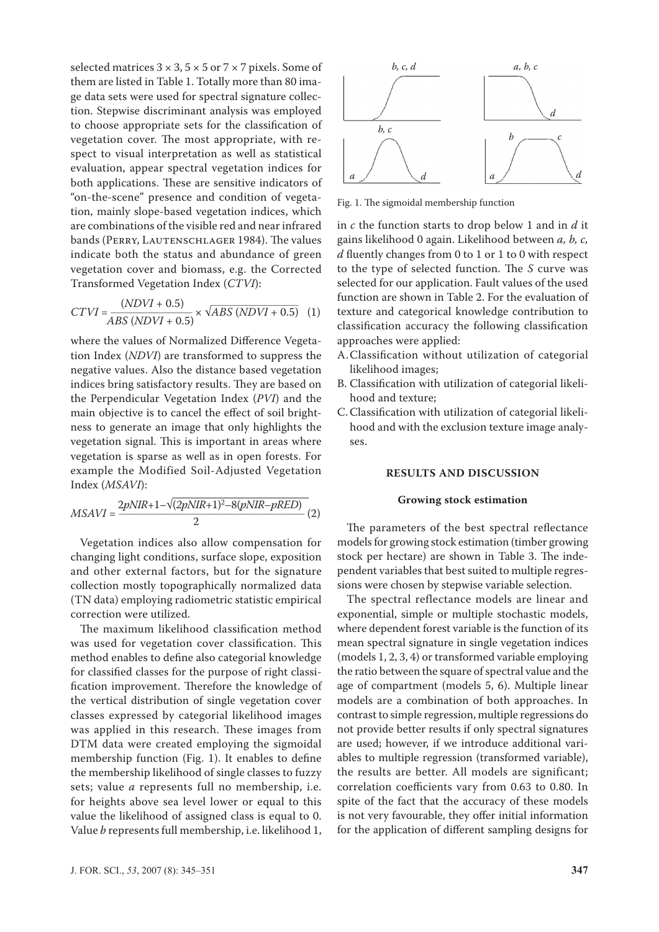selected matrices  $3 \times 3$ ,  $5 \times 5$  or  $7 \times 7$  pixels. Some of them are listed in Table 1. Totally more than 80 image data sets were used for spectral signature collection. Stepwise discriminant analysis was employed to choose appropriate sets for the classification of vegetation cover. The most appropriate, with respect to visual interpretation as well as statistical evaluation, appear spectral vegetation indices for both applications. These are sensitive indicators of "on-the-scene" presence and condition of vegetation, mainly slope-based vegetation indices, which are combinations of the visible red and near infrared bands (PERRY, LAUTENSCHLAGER 1984). The values indicate both the status and abundance of green vegetation cover and biomass, e.g. the Corrected Transformed Vegetation Index (*CTVI*):

$$
CTVI = \frac{(NDVI + 0.5)}{ABS (NDVI + 0.5)} \times \sqrt{ABS (NDVI + 0.5)} \quad (1)
$$

where the values of Normalized Difference Vegetation Index (*NDVI*) are transformed to suppress the negative values. Also the distance based vegetation indices bring satisfactory results. They are based on the Perpendicular Vegetation Index (*PVI*) and the main objective is to cancel the effect of soil brightness to generate an image that only highlights the vegetation signal. This is important in areas where vegetation is sparse as well as in open forests. For example the Modified Soil-Adjusted Vegetation Index (*MSAVI*):

$$
MSAVI = \frac{2pNIR+1-\sqrt{(2pNIR+1)^2-8(pNIR-pRED)}}{2}(2)
$$

Vegetation indices also allow compensation for changing light conditions, surface slope, exposition and other external factors, but for the signature collection mostly topographically normalized data (TN data) employing radiometric statistic empirical correction were utilized.

The maximum likelihood classification method was used for vegetation cover classification. This method enables to define also categorial knowledge for classified classes for the purpose of right classification improvement. Therefore the knowledge of the vertical distribution of single vegetation cover classes expressed by categorial likelihood images was applied in this research. These images from DTM data were created employing the sigmoidal membership function (Fig. 1). It enables to define the membership likelihood of single classes to fuzzy sets; value *a* represents full no membership, i.e. for heights above sea level lower or equal to this value the likelihood of assigned class is equal to 0. Value *b* represents full membership, i.e. likelihood 1,

Fig. 1. The sigmoidal membership function

in *c* the function starts to drop below 1 and in *d* it gains likelihood 0 again. Likelihood between *a, b, c, d* fluently changes from 0 to 1 or 1 to 0 with respect to the type of selected function. The *S* curve was selected for our application. Fault values of the used function are shown in Table 2. For the evaluation of texture and categorical knowledge contribution to classification accuracy the following classification approaches were applied:

- A.Classification without utilization of categorial likelihood images;
- B. Classification with utilization of categorial likelihood and texture;
- C.Classification with utilization of categorial likelihood and with the exclusion texture image analyses.

## **RESULTS AND DISCUSSION**

#### **Growing stock estimation**

The parameters of the best spectral reflectance models for growing stock estimation (timber growing stock per hectare) are shown in Table 3. The independent variables that best suited to multiple regressions were chosen by stepwise variable selection.

The spectral reflectance models are linear and exponential, simple or multiple stochastic models, where dependent forest variable is the function of its mean spectral signature in single vegetation indices (models 1, 2, 3, 4) or transformed variable employing the ratio between the square of spectral value and the age of compartment (models 5, 6). Multiple linear models are a combination of both approaches. In contrast to simple regression, multiple regressions do not provide better results if only spectral signatures are used; however, if we introduce additional variables to multiple regression (transformed variable), the results are better. All models are significant; correlation coefficients vary from 0.63 to 0.80. In spite of the fact that the accuracy of these models is not very favourable, they offer initial information for the application of different sampling designs for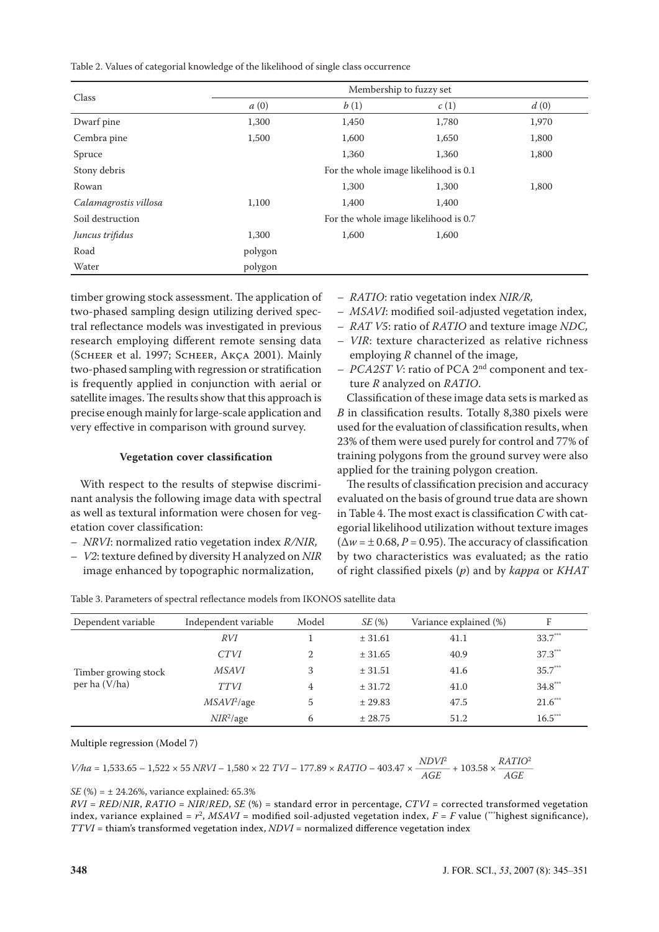Table 2. Values of categorial knowledge of the likelihood of single class occurrence

|                       | Membership to fuzzy set |                                       |       |       |  |  |  |  |
|-----------------------|-------------------------|---------------------------------------|-------|-------|--|--|--|--|
| Class                 | a(0)                    | b(1)                                  | c(1)  | d(0)  |  |  |  |  |
| Dwarf pine            | 1,300                   | 1,450                                 | 1,780 | 1,970 |  |  |  |  |
| Cembra pine           | 1,500                   | 1,600                                 | 1,650 | 1,800 |  |  |  |  |
| Spruce                |                         | 1,360                                 | 1,360 | 1,800 |  |  |  |  |
| Stony debris          |                         | For the whole image likelihood is 0.1 |       |       |  |  |  |  |
| Rowan                 |                         | 1,300                                 | 1,300 | 1,800 |  |  |  |  |
| Calamagrostis villosa | 1,100                   | 1,400                                 | 1,400 |       |  |  |  |  |
| Soil destruction      |                         | For the whole image likelihood is 0.7 |       |       |  |  |  |  |
| Juncus trifidus       | 1,300                   | 1,600                                 | 1,600 |       |  |  |  |  |
| Road                  | polygon                 |                                       |       |       |  |  |  |  |
| Water                 | polygon                 |                                       |       |       |  |  |  |  |

timber growing stock assessment. The application of two-phased sampling design utilizing derived spectral reflectance models was investigated in previous research employing different remote sensing data (Scheer et al. 1997; Scheer, Akça 2001). Mainly two-phased sampling with regression or stratification is frequently applied in conjunction with aerial or satellite images. The results show that this approach is precise enough mainly for large-scale application and very effective in comparison with ground survey.

#### **Vegetation cover classification**

With respect to the results of stepwise discriminant analysis the following image data with spectral as well as textural information were chosen for vegetation cover classification:

- *NRVI*: normalized ratio vegetation index *R/NIR,*
- *V2*: texture defined by diversity H analyzed on *NIR*  image enhanced by topographic normalization,
- *RATIO*: ratio vegetation index *NIR/R,*
- *MSAVI*: modified soil-adjusted vegetation index,
- *RAT V5*: ratio of *RATIO* and texture image *NDC,*
- *VIR*: texture characterized as relative richness employing *R* channel of the image,
- *PCA2ST V*: ratio of PCA 2nd component and texture *R* analyzed on *RATIO*.

Classification of these image data sets is marked as *B* in classification results. Totally 8,380 pixels were used for the evaluation of classification results, when 23% of them were used purely for control and 77% of training polygons from the ground survey were also applied for the training polygon creation.

The results of classification precision and accuracy evaluated on the basis of ground true data are shown in Table 4. The most exact is classification *C* with categorial likelihood utilization without texture images  $(\Delta w = \pm 0.68, P = 0.95)$ . The accuracy of classification by two characteristics was evaluated; as the ratio of right classified pixels (*p*) and by *kappa* or *KHAT* 

Table 3. Parameters of spectral reflectance models from IKONOS satellite data

| Dependent variable   | Independent variable    | Model | SE(%)   | Variance explained (%) | г         |
|----------------------|-------------------------|-------|---------|------------------------|-----------|
|                      | RVI                     |       | ± 31.61 | 41.1                   | $33.7***$ |
|                      | <b>CTVI</b>             | 2     | ± 31.65 | 40.9                   | $37.3***$ |
| Timber growing stock | <b>MSAVI</b>            | 3     | ± 31.51 | 41.6                   | $35.7***$ |
| per ha (V/ha)        | <b>TTVI</b>             | 4     | ± 31.72 | 41.0                   | $34.8***$ |
|                      | MSAVI <sup>2</sup> /age | 5     | ± 29.83 | 47.5                   | $21.6***$ |
|                      | $NIR^2$ /age            | 6     | ± 28.75 | 51.2                   | $16.5***$ |

Multiple regression (Model 7)

$$
V/ha = 1{,}533.65 - 1{,}522 \times 55 \; NRVI - 1{,}580 \times 22 \; TVI - 177.89 \times RATIO - 403.47 \times \frac{NDVI^2}{AGE} + 103.58 \times \frac{RATIO^2}{AGE}
$$

#### *SE* (%) = ± 24.26%, variance explained: 65.3%

*RVI* = *RED*/*NIR*, *RATIO* = *NIR*/*RED*, *SE* (%) = standard error in percentage, *CTVI* = corrected transformed vegetation index, variance explained =  $r^2$ , *MSAVI* = modified soil-adjusted vegetation index,  $F = F$  value (\*\*\*highest significance), *TTVI* = thiam's transformed vegetation index, *NDVI* = normalized difference vegetation index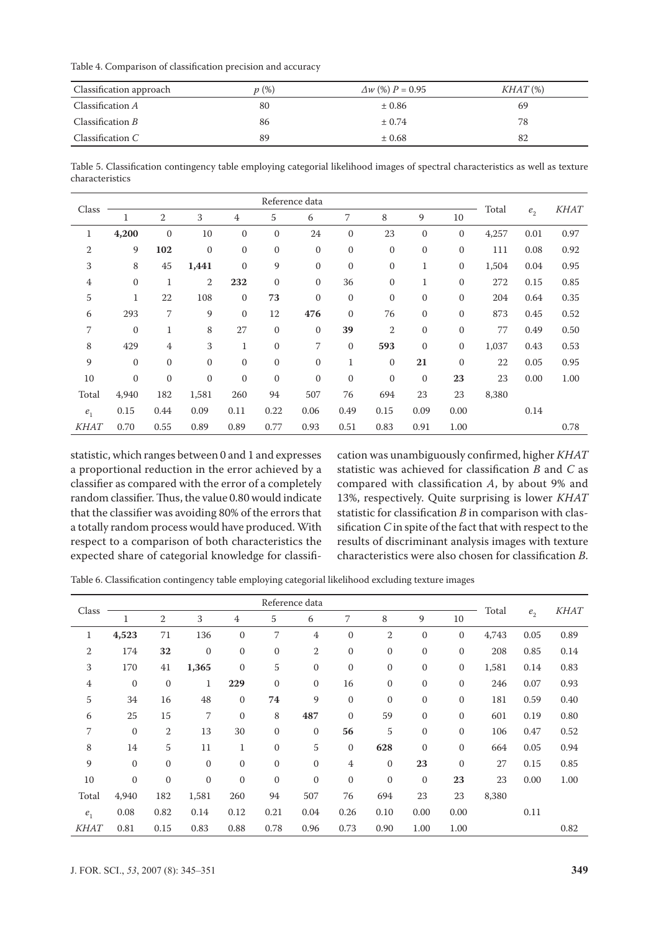Table 4. Comparison of classification precision and accuracy

| Classification approach | $p(\%)$ | $\Delta w$ (%) $P = 0.95$ | $KHAT$ (%) |
|-------------------------|---------|---------------------------|------------|
| Classification $A$      | 80      | $\pm 0.86$                | 69         |
| Classification $B$      | 86      | ± 0.74                    | 78         |
| Classification $C$      | 89      | $\pm 0.68$                | 82         |

Table 5. Classification contingency table employing categorial likelihood images of spectral characteristics as well as texture characteristics

|                |                |                  |                  |                  |                  | Reference data   |                  |                  |                  |              |       |         |             |
|----------------|----------------|------------------|------------------|------------------|------------------|------------------|------------------|------------------|------------------|--------------|-------|---------|-------------|
| Class          | 1              | $\mathbf{2}$     | 3                | 4                | 5                | 6                | 7                | 8                | 9                | 10           | Total | $e_{2}$ | <b>KHAT</b> |
| $\mathbf{1}$   | 4,200          | $\boldsymbol{0}$ | 10               | $\mathbf{0}$     | $\mathbf{0}$     | 24               | $\mathbf{0}$     | 23               | $\mathbf{0}$     | $\mathbf{0}$ | 4,257 | 0.01    | 0.97        |
| $\mathbf{2}$   | 9              | 102              | $\boldsymbol{0}$ | $\mathbf{0}$     | $\boldsymbol{0}$ | $\boldsymbol{0}$ | $\mathbf{0}$     | $\mathbf{0}$     | $\mathbf{0}$     | $\mathbf{0}$ | 111   | 0.08    | 0.92        |
| 3              | 8              | 45               | 1,441            | $\mathbf{0}$     | 9                | $\mathbf{0}$     | $\boldsymbol{0}$ | $\mathbf{0}$     | $\mathbf{1}$     | $\mathbf{0}$ | 1,504 | 0.04    | 0.95        |
| 4              | $\mathbf{0}$   | $\mathbf{1}$     | $\overline{2}$   | 232              | $\boldsymbol{0}$ | $\boldsymbol{0}$ | 36               | $\boldsymbol{0}$ | $\mathbf{1}$     | $\mathbf{0}$ | 272   | 0.15    | 0.85        |
| 5              | $\mathbf 1$    | 22               | 108              | $\mathbf{0}$     | 73               | $\mathbf{0}$     | $\boldsymbol{0}$ | $\mathbf{0}$     | $\boldsymbol{0}$ | $\mathbf{0}$ | 204   | 0.64    | 0.35        |
| 6              | 293            | 7                | 9                | $\boldsymbol{0}$ | 12               | 476              | $\boldsymbol{0}$ | 76               | $\boldsymbol{0}$ | $\mathbf{0}$ | 873   | 0.45    | 0.52        |
| 7              | $\overline{0}$ | $\mathbf{1}$     | 8                | 27               | $\mathbf{0}$     | $\mathbf{0}$     | 39               | $\overline{2}$   | $\mathbf{0}$     | $\mathbf{0}$ | 77    | 0.49    | 0.50        |
| 8              | 429            | $\,4\,$          | 3                | $\mathbf{1}$     | $\mathbf{0}$     | 7                | $\boldsymbol{0}$ | 593              | $\boldsymbol{0}$ | $\mathbf{0}$ | 1,037 | 0.43    | 0.53        |
| 9              | $\mathbf{0}$   | $\mathbf{0}$     | $\overline{0}$   | $\mathbf{0}$     | $\mathbf{0}$     | $\mathbf{0}$     | 1                | $\mathbf{0}$     | 21               | $\mathbf{0}$ | 22    | 0.05    | 0.95        |
| 10             | $\mathbf{0}$   | $\mathbf{0}$     | $\boldsymbol{0}$ | $\boldsymbol{0}$ | $\mathbf{0}$     | $\boldsymbol{0}$ | $\boldsymbol{0}$ | $\boldsymbol{0}$ | $\boldsymbol{0}$ | 23           | 23    | 0.00    | 1.00        |
| Total          | 4,940          | 182              | 1,581            | 260              | 94               | 507              | 76               | 694              | 23               | 23           | 8,380 |         |             |
| e <sub>1</sub> | 0.15           | 0.44             | 0.09             | 0.11             | 0.22             | 0.06             | 0.49             | 0.15             | 0.09             | 0.00         |       | 0.14    |             |
| <b>KHAT</b>    | 0.70           | 0.55             | 0.89             | 0.89             | 0.77             | 0.93             | 0.51             | 0.83             | 0.91             | 1.00         |       |         | 0.78        |

statistic, which ranges between 0 and 1 and expresses a proportional reduction in the error achieved by a classifier as compared with the error of a completely random classifier. Thus, the value 0.80 would indicate that the classifier was avoiding 80% of the errors that a totally random process would have produced. With respect to a comparison of both characteristics the expected share of categorial knowledge for classification was unambiguously confirmed, higher *KHAT* statistic was achieved for classification *B* and *C* as compared with classification *A*, by about 9% and 13%, respectively. Quite surprising is lower *KHAT*  statistic for classification *B* in comparison with classification *C* in spite of the fact that with respect to the results of discriminant analysis images with texture characteristics were also chosen for classification *B*.

Table 6. Classification contingency table employing categorial likelihood excluding texture images

| Class          |                  |                  |              |                |              | Reference data |                |                  |                |                  | Total |                | <b>KHAT</b> |
|----------------|------------------|------------------|--------------|----------------|--------------|----------------|----------------|------------------|----------------|------------------|-------|----------------|-------------|
|                | T                | $\mathbf{2}$     | 3            | $\overline{4}$ | 5            | 6              | 7              | 8                | 9              | 10               |       | e <sub>2</sub> |             |
| $\mathbf{1}$   | 4,523            | 71               | 136          | $\overline{0}$ | 7            | 4              | $\overline{0}$ | $\overline{2}$   | $\overline{0}$ | $\mathbf{0}$     | 4,743 | 0.05           | 0.89        |
| $\sqrt{2}$     | 174              | 32               | $\mathbf{0}$ | $\mathbf{0}$   | $\mathbf{0}$ | $\overline{2}$ | $\mathbf{0}$   | $\boldsymbol{0}$ | $\mathbf{0}$   | $\boldsymbol{0}$ | 208   | 0.85           | 0.14        |
| 3              | 170              | 41               | 1,365        | $\mathbf{0}$   | 5            | $\overline{0}$ | $\mathbf{0}$   | $\boldsymbol{0}$ | $\mathbf{0}$   | $\boldsymbol{0}$ | 1,581 | 0.14           | 0.83        |
| 4              | $\boldsymbol{0}$ | $\mathbf{0}$     | 1            | 229            | $\mathbf{0}$ | $\mathbf{0}$   | 16             | $\boldsymbol{0}$ | $\mathbf{0}$   | $\boldsymbol{0}$ | 246   | 0.07           | 0.93        |
| 5              | 34               | 16               | 48           | $\mathbf{0}$   | 74           | 9              | $\mathbf{0}$   | $\mathbf{0}$     | $\mathbf{0}$   | $\mathbf{0}$     | 181   | 0.59           | 0.40        |
| 6              | 25               | 15               | 7            | $\mathbf{0}$   | 8            | 487            | $\mathbf{0}$   | 59               | $\mathbf{0}$   | $\boldsymbol{0}$ | 601   | 0.19           | 0.80        |
| $\overline{7}$ | $\boldsymbol{0}$ | 2                | 13           | 30             | $\mathbf{0}$ | $\mathbf{0}$   | 56             | 5                | $\mathbf{0}$   | $\mathbf{0}$     | 106   | 0.47           | 0.52        |
| 8              | 14               | 5                | 11           | $\mathbf{1}$   | $\mathbf{0}$ | 5              | $\mathbf{0}$   | 628              | $\mathbf{0}$   | $\boldsymbol{0}$ | 664   | 0.05           | 0.94        |
| 9              | $\mathbf{0}$     | $\mathbf{0}$     | $\mathbf{0}$ | $\mathbf{0}$   | $\Omega$     | $\overline{0}$ | $\overline{4}$ | $\mathbf{0}$     | 23             | $\mathbf{0}$     | 27    | 0.15           | 0.85        |
| 10             | $\boldsymbol{0}$ | $\boldsymbol{0}$ | $\mathbf{0}$ | $\mathbf{0}$   | $\mathbf{0}$ | $\mathbf{0}$   | $\mathbf{0}$   | $\boldsymbol{0}$ | $\mathbf{0}$   | 23               | 23    | 0.00           | 1.00        |
| Total          | 4,940            | 182              | 1,581        | 260            | 94           | 507            | 76             | 694              | 23             | 23               | 8,380 |                |             |
| e <sub>1</sub> | 0.08             | 0.82             | 0.14         | 0.12           | 0.21         | 0.04           | 0.26           | 0.10             | 0.00           | 0.00             |       | 0.11           |             |
| <b>KHAT</b>    | 0.81             | 0.15             | 0.83         | 0.88           | 0.78         | 0.96           | 0.73           | 0.90             | 1.00           | 1.00             |       |                | 0.82        |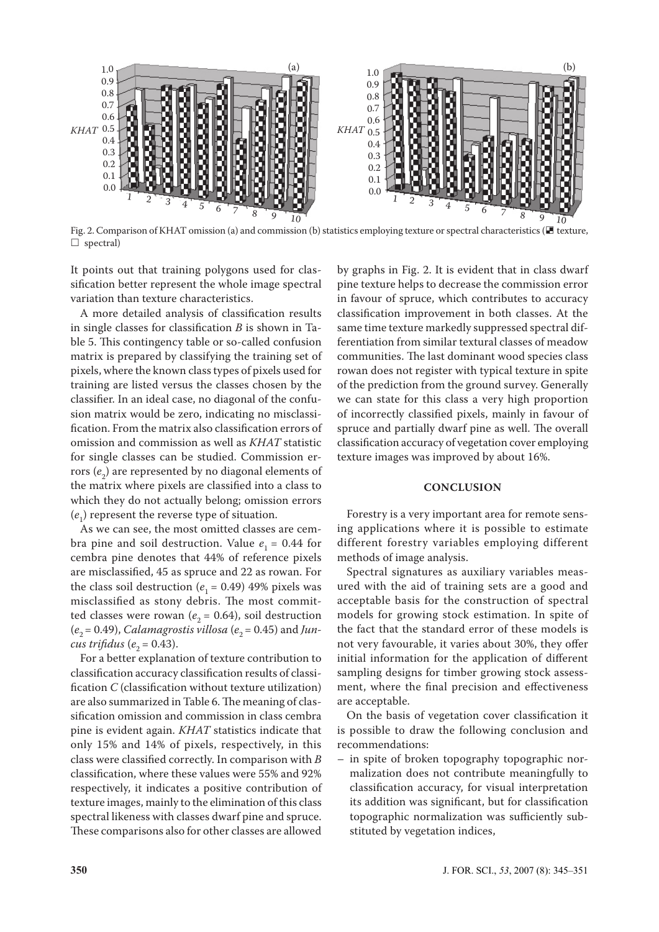

Fig. 2. Comparison of KHAT omission (a) and commission (b) statistics employing texture or spectral characteristics ( $\blacksquare$  texture,  $\Box$  spectral)

It points out that training polygons used for classification better represent the whole image spectral variation than texture characteristics.

A more detailed analysis of classification results in single classes for classification *B* is shown in Table 5. This contingency table or so-called confusion matrix is prepared by classifying the training set of pixels, where the known class types of pixels used for training are listed versus the classes chosen by the classifier. In an ideal case, no diagonal of the confusion matrix would be zero, indicating no misclassification. From the matrix also classification errors of omission and commission as well as *KHAT* statistic for single classes can be studied. Commission errors  $(e_2)$  are represented by no diagonal elements of the matrix where pixels are classified into a class to which they do not actually belong; omission errors  $(e_1)$  represent the reverse type of situation.

As we can see, the most omitted classes are cembra pine and soil destruction. Value  $e_1 = 0.44$  for cembra pine denotes that 44% of reference pixels are misclassified, 45 as spruce and 22 as rowan. For the class soil destruction ( $e_1$  = 0.49) 49% pixels was misclassified as stony debris. The most committed classes were rowan ( $e_2$  = 0.64), soil destruction  $(e_2 = 0.49)$ , *Calamagrostis villosa*  $(e_2 = 0.45)$  and *Juncus trifidus* ( $e<sub>2</sub> = 0.43$ ).

For a better explanation of texture contribution to classification accuracy classification results of classification *C* (classification without texture utilization) are also summarized in Table 6. The meaning of classification omission and commission in class cembra pine is evident again. *KHAT* statistics indicate that only 15% and 14% of pixels, respectively, in this class were classified correctly. In comparison with *B* classification, where these values were 55% and 92% respectively, it indicates a positive contribution of texture images, mainly to the elimination of this class spectral likeness with classes dwarf pine and spruce. These comparisons also for other classes are allowed

by graphs in Fig. 2. It is evident that in class dwarf pine texture helps to decrease the commission error in favour of spruce, which contributes to accuracy classification improvement in both classes. At the same time texture markedly suppressed spectral differentiation from similar textural classes of meadow communities. The last dominant wood species class rowan does not register with typical texture in spite of the prediction from the ground survey. Generally we can state for this class a very high proportion of incorrectly classified pixels, mainly in favour of spruce and partially dwarf pine as well. The overall classification accuracy of vegetation cover employing texture images was improved by about 16%.

#### **CONCLUSION**

Forestry is a very important area for remote sensing applications where it is possible to estimate different forestry variables employing different methods of image analysis.

Spectral signatures as auxiliary variables measured with the aid of training sets are a good and acceptable basis for the construction of spectral models for growing stock estimation. In spite of the fact that the standard error of these models is not very favourable, it varies about 30%, they offer initial information for the application of different sampling designs for timber growing stock assessment, where the final precision and effectiveness are acceptable.

On the basis of vegetation cover classification it is possible to draw the following conclusion and recommendations:

– in spite of broken topography topographic normalization does not contribute meaningfully to classification accuracy, for visual interpretation its addition was significant, but for classification topographic normalization was sufficiently substituted by vegetation indices,